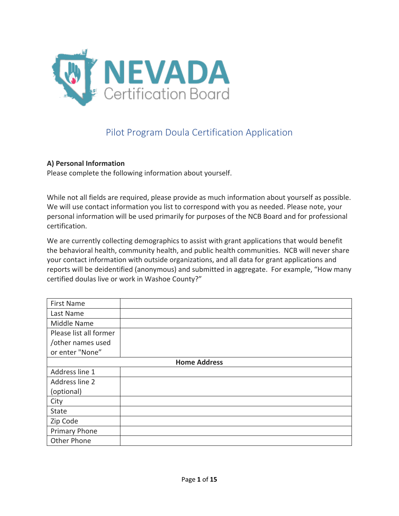

# Pilot Program Doula Certification Application

#### **A) Personal Information**

Please complete the following information about yourself.

While not all fields are required, please provide as much information about yourself as possible. We will use contact information you list to correspond with you as needed. Please note, your personal information will be used primarily for purposes of the NCB Board and for professional certification.

We are currently collecting demographics to assist with grant applications that would benefit the behavioral health, community health, and public health communities. NCB will never share your contact information with outside organizations, and all data for grant applications and reports will be deidentified (anonymous) and submitted in aggregate. For example, "How many certified doulas live or work in Washoe County?"

| <b>First Name</b>      |  |  |
|------------------------|--|--|
| Last Name              |  |  |
| Middle Name            |  |  |
| Please list all former |  |  |
| /other names used      |  |  |
| or enter "None"        |  |  |
| <b>Home Address</b>    |  |  |
| Address line 1         |  |  |
| Address line 2         |  |  |
| (optional)             |  |  |
| City                   |  |  |
| State                  |  |  |
| Zip Code               |  |  |
| Primary Phone          |  |  |
| Other Phone            |  |  |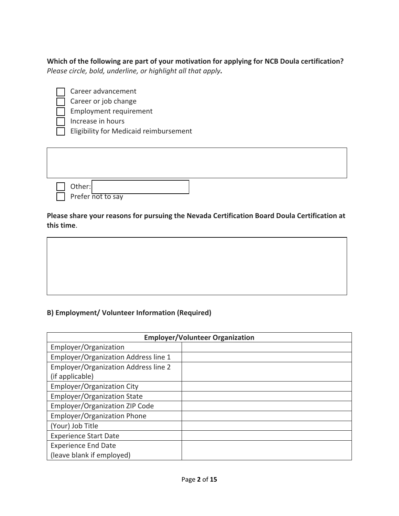**Which of the following are part of your motivation for applying for NCB Doula certification?**  *Please circle, bold, underline, or highlight all that apply.* 

Career advancement

Career or job change

• Employment requirement

• Increase in hours

**Eligibility for Medicaid reimbursement** 

| $\frac{1}{\sqrt{2}}$ Other: Prefer not to say |  |
|-----------------------------------------------|--|

**Please share your reasons for pursuing the Nevada Certification Board Doula Certification at this time**.

# **B) Employment/ Volunteer Information (Required)**

| <b>Employer/Volunteer Organization</b>      |  |  |
|---------------------------------------------|--|--|
| Employer/Organization                       |  |  |
| Employer/Organization Address line 1        |  |  |
| <b>Employer/Organization Address line 2</b> |  |  |
| (if applicable)                             |  |  |
| <b>Employer/Organization City</b>           |  |  |
| <b>Employer/Organization State</b>          |  |  |
| Employer/Organization ZIP Code              |  |  |
| <b>Employer/Organization Phone</b>          |  |  |
| (Your) Job Title                            |  |  |
| <b>Experience Start Date</b>                |  |  |
| <b>Experience End Date</b>                  |  |  |
| (leave blank if employed)                   |  |  |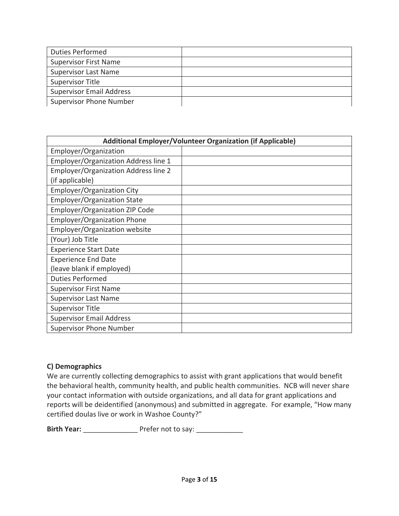| <b>Duties Performed</b>         |  |
|---------------------------------|--|
| <b>Supervisor First Name</b>    |  |
| <b>Supervisor Last Name</b>     |  |
| <b>Supervisor Title</b>         |  |
| <b>Supervisor Email Address</b> |  |
| <b>Supervisor Phone Number</b>  |  |

| Additional Employer/Volunteer Organization (if Applicable) |  |  |
|------------------------------------------------------------|--|--|
| Employer/Organization                                      |  |  |
| <b>Employer/Organization Address line 1</b>                |  |  |
| <b>Employer/Organization Address line 2</b>                |  |  |
| (if applicable)                                            |  |  |
| Employer/Organization City                                 |  |  |
| <b>Employer/Organization State</b>                         |  |  |
| Employer/Organization ZIP Code                             |  |  |
| <b>Employer/Organization Phone</b>                         |  |  |
| Employer/Organization website                              |  |  |
| (Your) Job Title                                           |  |  |
| <b>Experience Start Date</b>                               |  |  |
| <b>Experience End Date</b>                                 |  |  |
| (leave blank if employed)                                  |  |  |
| <b>Duties Performed</b>                                    |  |  |
| <b>Supervisor First Name</b>                               |  |  |
| <b>Supervisor Last Name</b>                                |  |  |
| <b>Supervisor Title</b>                                    |  |  |
| <b>Supervisor Email Address</b>                            |  |  |
| <b>Supervisor Phone Number</b>                             |  |  |

## **C) Demographics**

We are currently collecting demographics to assist with grant applications that would benefit the behavioral health, community health, and public health communities. NCB will never share your contact information with outside organizations, and all data for grant applications and reports will be deidentified (anonymous) and submitted in aggregate. For example, "How many certified doulas live or work in Washoe County?"

**Birth Year:** \_\_\_\_\_\_\_\_\_\_\_\_\_\_\_\_\_\_\_\_ Prefer not to say: \_\_\_\_\_\_\_\_\_\_\_\_\_\_\_\_\_\_\_\_\_\_\_\_\_\_\_\_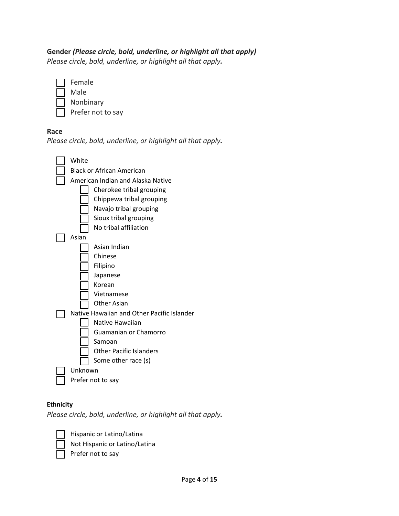#### **Gender** *(Please circle, bold, underline, or highlight all that apply)*

*Please circle, bold, underline, or highlight all that apply.* 

**Female** • Male **Nonbinary** Prefer not to say

#### **Race**





#### **Ethnicity**

*Please circle, bold, underline, or highlight all that apply.* 



• Hispanic or Latino/Latina • Not Hispanic or Latino/Latina Prefer not to say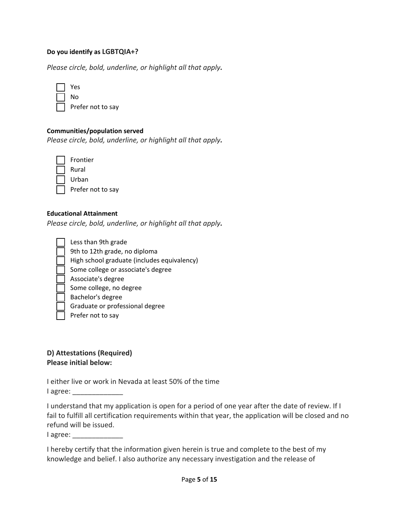#### **Do you identify as LGBTQIA+?**

*Please circle, bold, underline, or highlight all that apply.* 

| 'es  |
|------|
| No   |
| Drof |

 $\Box$  Prefer not to say

#### **Communities/population served**

*Please circle, bold, underline, or highlight all that apply.* 

**Frontier** • Rural • Urban Prefer not to say

#### **Educational Attainment**

*Please circle, bold, underline, or highlight all that apply.* 

| Less than 9th grade                         |
|---------------------------------------------|
|                                             |
| 9th to 12th grade, no diploma               |
| High school graduate (includes equivalency) |
| Some college or associate's degree          |
| Associate's degree                          |
| Some college, no degree                     |
| Bachelor's degree                           |
| Graduate or professional degree             |
| Prefer not to say                           |
|                                             |

## **D) Attestations (Required) Please initial below:**

I either live or work in Nevada at least 50% of the time I agree:

I understand that my application is open for a period of one year after the date of review. If I fail to fulfill all certification requirements within that year, the application will be closed and no refund will be issued.

I agree:

I hereby certify that the information given herein is true and complete to the best of my knowledge and belief. I also authorize any necessary investigation and the release of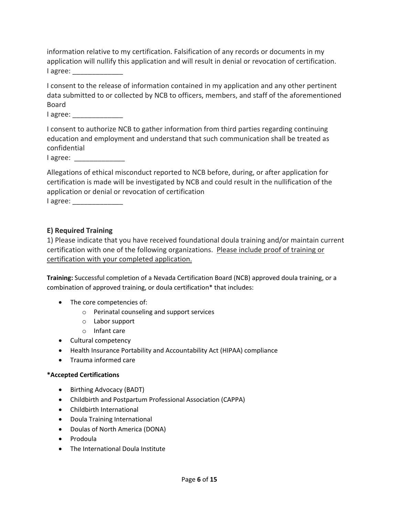information relative to my certification. Falsification of any records or documents in my application will nullify this application and will result in denial or revocation of certification. I agree:

I consent to the release of information contained in my application and any other pertinent data submitted to or collected by NCB to officers, members, and staff of the aforementioned Board

I agree:

I consent to authorize NCB to gather information from third parties regarding continuing education and employment and understand that such communication shall be treated as confidential

I agree:

Allegations of ethical misconduct reported to NCB before, during, or after application for certification is made will be investigated by NCB and could result in the nullification of the application or denial or revocation of certification

I agree: \_\_\_\_\_\_\_\_\_\_\_\_\_

#### **E) Required Training**

1) Please indicate that you have received foundational doula training and/or maintain current certification with one of the following organizations. Please include proof of training or certification with your completed application.

**Training:** Successful completion of a Nevada Certification Board (NCB) approved doula training, or a combination of approved training, or doula certification\* that includes:

- The core competencies of:
	- o Perinatal counseling and support services
	- o Labor support
	- o Infant care
- Cultural competency
- Health Insurance Portability and Accountability Act (HIPAA) compliance
- Trauma informed care

#### **\*Accepted Certifications**

- Birthing Advocacy (BADT)
- Childbirth and Postpartum Professional Association (CAPPA)
- Childbirth International
- Doula Training International
- Doulas of North America (DONA)
- Prodoula
- The International Doula Institute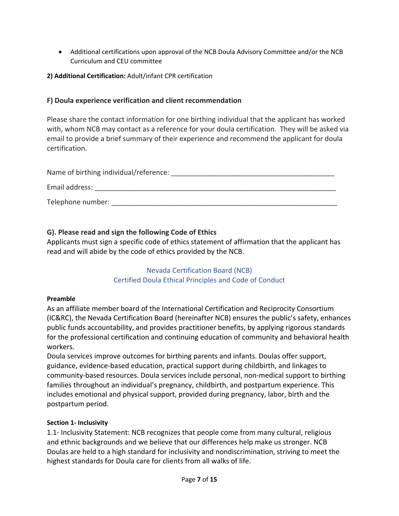• Additional certifications upon approval of the NCB Doula Advisory Committee and/or the NCB Curriculum and CEU committee

## **2) Additional Certification:** Adult/infant CPR certification

# **F) Doula experience verification and client recommendation**

Please share the contact information for one birthing individual that the applicant has worked with, whom NCB may contact as a reference for your doula certification. They will be asked via email to provide a brief summary of their experience and recommend the applicant for doula certification.

| Name of birthing individual/reference: |  |
|----------------------------------------|--|
| Email address:                         |  |
| Telephone number:                      |  |

# **G). Please read and sign the following Code of Ethics**

Applicants must sign a specific code of ethics statement of affirmation that the applicant has read and will abide by the code of ethics provided by the NCB.

## Nevada Certification Board (NCB) Certified Doula Ethical Principles and Code of Conduct

## **Preamble**

As an affiliate member board of the International Certification and Reciprocity Consortium (IC&RC), the Nevada Certification Board (hereinafter NCB) ensures the public's safety, enhances public funds accountability, and provides practitioner benefits, by applying rigorous standards for the professional certification and continuing education of community and behavioral health workers.

Doula services improve outcomes for birthing parents and infants. Doulas offer support, guidance, evidence-based education, practical support during childbirth, and linkages to community-based resources. Doula services include personal, non-medical support to birthing families throughout an individual's pregnancy, childbirth, and postpartum experience. This includes emotional and physical support, provided during pregnancy, labor, birth and the postpartum period.

## **Section 1- Inclusivity**

1.1- Inclusivity Statement: NCB recognizes that people come from many cultural, religious and ethnic backgrounds and we believe that our differences help make us stronger. NCB Doulas are held to a high standard for inclusivity and nondiscrimination, striving to meet the highest standards for Doula care for clients from all walks of life.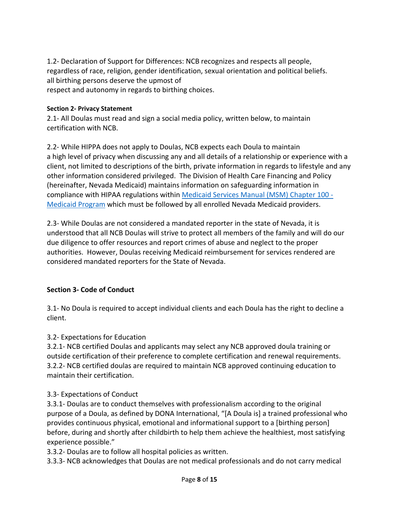1.2- Declaration of Support for Differences: NCB recognizes and respects all people, regardless of race, religion, gender identification, sexual orientation and political beliefs. all birthing persons deserve the upmost of respect and autonomy in regards to birthing choices.

#### **Section 2- Privacy Statement**

2.1- All Doulas must read and sign a social media policy, written below, to maintain certification with NCB.

2.2- While HIPPA does not apply to Doulas, NCB expects each Doula to maintain a high level of privacy when discussing any and all details of a relationship or experience with a client, not limited to descriptions of the birth, private information in regards to lifestyle and any other information considered privileged. The Division of Health Care Financing and Policy (hereinafter, Nevada Medicaid) maintains information on safeguarding information in compliance with HIPAA regulations within [Medicaid Services Manual \(MSM\) Chapter 100 -](https://dhcfp.nv.gov/Resources/AdminSupport/Manuals/MSM/C100/Chapter100/)  [Medicaid Program](https://dhcfp.nv.gov/Resources/AdminSupport/Manuals/MSM/C100/Chapter100/) which must be followed by all enrolled Nevada Medicaid providers.

2.3- While Doulas are not considered a mandated reporter in the state of Nevada, it is understood that all NCB Doulas will strive to protect all members of the family and will do our due diligence to offer resources and report crimes of abuse and neglect to the proper authorities. However, Doulas receiving Medicaid reimbursement for services rendered are considered mandated reporters for the State of Nevada.

## **Section 3- Code of Conduct**

3.1- No Doula is required to accept individual clients and each Doula has the right to decline a client.

## 3.2- Expectations for Education

3.2.1- NCB certified Doulas and applicants may select any NCB approved doula training or outside certification of their preference to complete certification and renewal requirements. 3.2.2- NCB certified doulas are required to maintain NCB approved continuing education to maintain their certification.

## 3.3- Expectations of Conduct

3.3.1- Doulas are to conduct themselves with professionalism according to the original purpose of a Doula, as defined by DONA International, "[A Doula is] a trained professional who provides continuous physical, emotional and informational support to a [birthing person] before, during and shortly after childbirth to help them achieve the healthiest, most satisfying experience possible."

3.3.2- Doulas are to follow all hospital policies as written.

3.3.3- NCB acknowledges that Doulas are not medical professionals and do not carry medical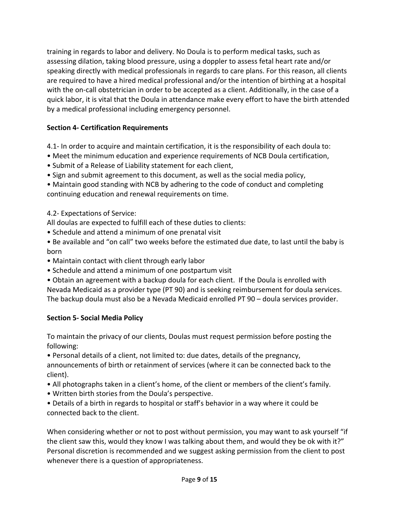training in regards to labor and delivery. No Doula is to perform medical tasks, such as assessing dilation, taking blood pressure, using a doppler to assess fetal heart rate and/or speaking directly with medical professionals in regards to care plans. For this reason, all clients are required to have a hired medical professional and/or the intention of birthing at a hospital with the on-call obstetrician in order to be accepted as a client. Additionally, in the case of a quick labor, it is vital that the Doula in attendance make every effort to have the birth attended by a medical professional including emergency personnel.

# **Section 4- Certification Requirements**

4.1- In order to acquire and maintain certification, it is the responsibility of each doula to:

- Meet the minimum education and experience requirements of NCB Doula certification,
- Submit of a Release of Liability statement for each client,
- Sign and submit agreement to this document, as well as the social media policy,
- Maintain good standing with NCB by adhering to the code of conduct and completing continuing education and renewal requirements on time.

# 4.2- Expectations of Service:

All doulas are expected to fulfill each of these duties to clients:

- Schedule and attend a minimum of one prenatal visit
- Be available and "on call" two weeks before the estimated due date, to last until the baby is born
- Maintain contact with client through early labor
- Schedule and attend a minimum of one postpartum visit
- Obtain an agreement with a backup doula for each client. If the Doula is enrolled with Nevada Medicaid as a provider type (PT 90) and is seeking reimbursement for doula services. The backup doula must also be a Nevada Medicaid enrolled PT 90 – doula services provider.

# **Section 5- Social Media Policy**

To maintain the privacy of our clients, Doulas must request permission before posting the following:

• Personal details of a client, not limited to: due dates, details of the pregnancy,

announcements of birth or retainment of services (where it can be connected back to the client).

- All photographs taken in a client's home, of the client or members of the client's family.
- Written birth stories from the Doula's perspective.
- Details of a birth in regards to hospital or staff's behavior in a way where it could be connected back to the client.

When considering whether or not to post without permission, you may want to ask yourself "if the client saw this, would they know I was talking about them, and would they be ok with it?" Personal discretion is recommended and we suggest asking permission from the client to post whenever there is a question of appropriateness.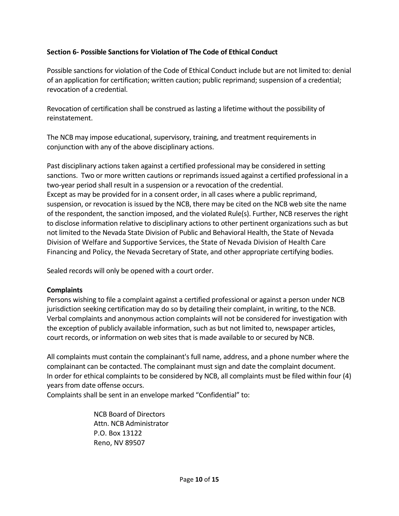# **Section 6- Possible Sanctions for Violation of The Code of Ethical Conduct**

Possible sanctions for violation of the Code of Ethical Conduct include but are not limited to: denial of an application for certification; written caution; public reprimand; suspension of a credential; revocation of a credential.

Revocation of certification shall be construed as lasting a lifetime without the possibility of reinstatement.

The NCB may impose educational, supervisory, training, and treatment requirements in conjunction with any of the above disciplinary actions.

Past disciplinary actions taken against a certified professional may be considered in setting sanctions. Two or more written cautions or reprimands issued against a certified professional in a two-year period shall result in a suspension or a revocation of the credential. Except as may be provided for in a consent order, in all cases where a public reprimand, suspension, or revocation is issued by the NCB, there may be cited on the NCB web site the name of the respondent, the sanction imposed, and the violated Rule(s). Further, NCB reserves the right to disclose information relative to disciplinary actions to other pertinent organizations such as but not limited to the Nevada State Division of Public and Behavioral Health, the State of Nevada Division of Welfare and Supportive Services, the State of Nevada Division of Health Care Financing and Policy, the Nevada Secretary of State, and other appropriate certifying bodies.

Sealed records will only be opened with a court order.

## **Complaints**

Persons wishing to file a complaint against a certified professional or against a person under NCB jurisdiction seeking certification may do so by detailing their complaint, in writing, to the NCB. Verbal complaints and anonymous action complaints will not be considered for investigation with the exception of publicly available information, such as but not limited to, newspaper articles, court records, or information on web sites that is made available to or secured by NCB.

All complaints must contain the complainant's full name, address, and a phone number where the complainant can be contacted. The complainant must sign and date the complaint document. In order for ethical complaints to be considered by NCB, all complaints must be filed within four (4) years from date offense occurs.

Complaints shall be sent in an envelope marked "Confidential" to:

 NCB Board of Directors Attn. NCB Administrator P.O. Box 13122 Reno, NV 89507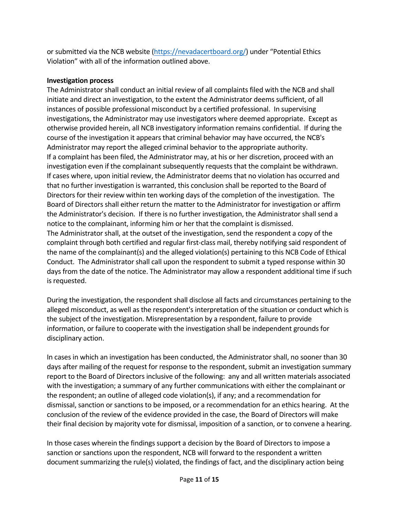or submitted via the NCB website [\(https://nevadacertboard.org/\)](https://nevadacertboard.org/) under "Potential Ethics Violation" with all of the information outlined above.

## **Investigation process**

The Administrator shall conduct an initial review of all complaints filed with the NCB and shall initiate and direct an investigation, to the extent the Administrator deems sufficient, of all instances of possible professional misconduct by a certified professional. In supervising investigations, the Administrator may use investigators where deemed appropriate. Except as otherwise provided herein, all NCB investigatory information remains confidential. If during the course of the investigation it appears that criminal behavior may have occurred, the NCB's Administrator may report the alleged criminal behavior to the appropriate authority. If a complaint has been filed, the Administrator may, at his or her discretion, proceed with an investigation even if the complainant subsequently requests that the complaint be withdrawn. If cases where, upon initial review, the Administrator deems that no violation has occurred and that no further investigation is warranted, this conclusion shall be reported to the Board of Directors for their review within ten working days of the completion of the investigation. The Board of Directors shall either return the matter to the Administrator for investigation or affirm the Administrator's decision. If there is no further investigation, the Administrator shall send a notice to the complainant, informing him or her that the complaint is dismissed. The Administrator shall, at the outset of the investigation, send the respondent a copy of the complaint through both certified and regular first-class mail, thereby notifying said respondent of the name of the complainant(s) and the alleged violation(s) pertaining to this NCB Code of Ethical Conduct. The Administrator shall call upon the respondent to submit a typed response within 30 days from the date of the notice. The Administrator may allow a respondent additional time if such is requested.

During the investigation, the respondent shall disclose all facts and circumstances pertaining to the alleged misconduct, as well as the respondent's interpretation of the situation or conduct which is the subject of the investigation. Misrepresentation by a respondent, failure to provide information, or failure to cooperate with the investigation shall be independent grounds for disciplinary action.

In cases in which an investigation has been conducted, the Administrator shall, no sooner than 30 days after mailing of the request for response to the respondent, submit an investigation summary report to the Board of Directors inclusive of the following: any and all written materials associated with the investigation; a summary of any further communications with either the complainant or the respondent; an outline of alleged code violation(s), if any; and a recommendation for dismissal, sanction or sanctions to be imposed, or a recommendation for an ethics hearing. At the conclusion of the review of the evidence provided in the case, the Board of Directors will make their final decision by majority vote for dismissal, imposition of a sanction, or to convene a hearing.

In those cases wherein the findings support a decision by the Board of Directors to impose a sanction or sanctions upon the respondent, NCB will forward to the respondent a written document summarizing the rule(s) violated, the findings of fact, and the disciplinary action being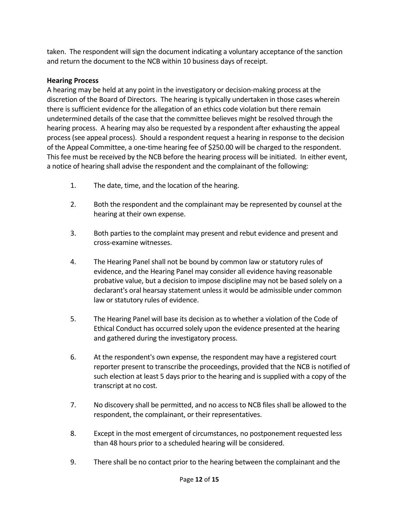taken. The respondent will sign the document indicating a voluntary acceptance of the sanction and return the document to the NCB within 10 business days of receipt.

# **Hearing Process**

A hearing may be held at any point in the investigatory or decision-making process at the discretion of the Board of Directors. The hearing is typically undertaken in those cases wherein there is sufficient evidence for the allegation of an ethics code violation but there remain undetermined details of the case that the committee believes might be resolved through the hearing process. A hearing may also be requested by a respondent after exhausting the appeal process (see appeal process). Should a respondent request a hearing in response to the decision of the Appeal Committee, a one-time hearing fee of \$250.00 will be charged to the respondent. This fee must be received by the NCB before the hearing process will be initiated. In either event, a notice of hearing shall advise the respondent and the complainant of the following:

- 1. The date, time, and the location of the hearing.
- 2. Both the respondent and the complainant may be represented by counsel at the hearing at their own expense.
- 3. Both parties to the complaint may present and rebut evidence and present and cross-examine witnesses.
- 4. The Hearing Panel shall not be bound by common law or statutory rules of evidence, and the Hearing Panel may consider all evidence having reasonable probative value, but a decision to impose discipline may not be based solely on a declarant's oral hearsay statement unless it would be admissible under common law or statutory rules of evidence.
- 5. The Hearing Panel will base its decision as to whether a violation of the Code of Ethical Conduct has occurred solely upon the evidence presented at the hearing and gathered during the investigatory process.
- 6. At the respondent's own expense, the respondent may have a registered court reporter present to transcribe the proceedings, provided that the NCB is notified of such election at least 5 days prior to the hearing and is supplied with a copy of the transcript at no cost.
- 7. No discovery shall be permitted, and no access to NCB files shall be allowed to the respondent, the complainant, or their representatives.
- 8. Except in the most emergent of circumstances, no postponement requested less than 48 hours prior to a scheduled hearing will be considered.
- 9. There shall be no contact prior to the hearing between the complainant and the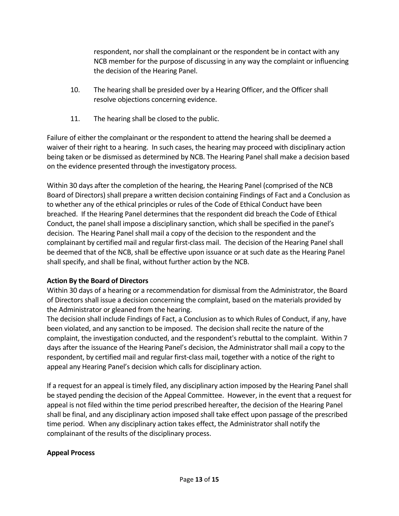respondent, nor shall the complainant or the respondent be in contact with any NCB member for the purpose of discussing in any way the complaint or influencing the decision of the Hearing Panel.

- 10. The hearing shall be presided over by a Hearing Officer, and the Officer shall resolve objections concerning evidence.
- 11. The hearing shall be closed to the public.

Failure of either the complainant or the respondent to attend the hearing shall be deemed a waiver of their right to a hearing. In such cases, the hearing may proceed with disciplinary action being taken or be dismissed as determined by NCB. The Hearing Panel shall make a decision based on the evidence presented through the investigatory process.

Within 30 days after the completion of the hearing, the Hearing Panel (comprised of the NCB Board of Directors) shall prepare a written decision containing Findings of Fact and a Conclusion as to whether any of the ethical principles or rules of the Code of Ethical Conduct have been breached. If the Hearing Panel determines that the respondent did breach the Code of Ethical Conduct, the panel shall impose a disciplinary sanction, which shall be specified in the panel's decision. The Hearing Panel shall mail a copy of the decision to the respondent and the complainant by certified mail and regular first-class mail. The decision of the Hearing Panel shall be deemed that of the NCB, shall be effective upon issuance or at such date as the Hearing Panel shall specify, and shall be final, without further action by the NCB.

# **Action By the Board of Directors**

Within 30 days of a hearing or a recommendation for dismissal from the Administrator, the Board of Directors shall issue a decision concerning the complaint, based on the materials provided by the Administrator or gleaned from the hearing.

The decision shall include Findings of Fact, a Conclusion as to which Rules of Conduct, if any, have been violated, and any sanction to be imposed. The decision shall recite the nature of the complaint, the investigation conducted, and the respondent's rebuttal to the complaint. Within 7 days after the issuance of the Hearing Panel's decision, the Administrator shall mail a copy to the respondent, by certified mail and regular first-class mail, together with a notice of the right to appeal any Hearing Panel's decision which calls for disciplinary action.

If a request for an appeal is timely filed, any disciplinary action imposed by the Hearing Panel shall be stayed pending the decision of the Appeal Committee. However, in the event that a request for appeal is not filed within the time period prescribed hereafter, the decision of the Hearing Panel shall be final, and any disciplinary action imposed shall take effect upon passage of the prescribed time period. When any disciplinary action takes effect, the Administrator shall notify the complainant of the results of the disciplinary process.

# **Appeal Process**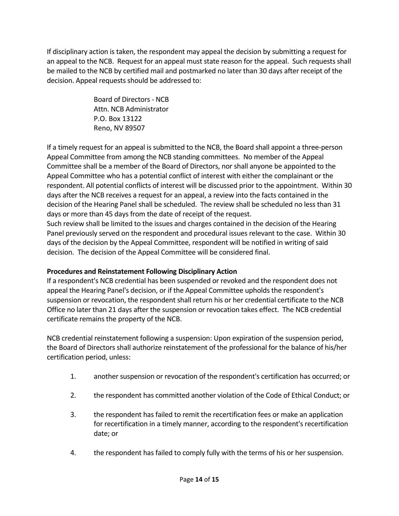If disciplinary action is taken, the respondent may appeal the decision by submitting a request for an appeal to the NCB. Request for an appeal must state reason for the appeal. Such requests shall be mailed to the NCB by certified mail and postmarked no later than 30 days after receipt of the decision. Appeal requests should be addressed to:

> Board of Directors - NCB Attn. NCB Administrator P.O. Box 13122 Reno, NV 89507

If a timely request for an appeal is submitted to the NCB, the Board shall appoint a three-person Appeal Committee from among the NCB standing committees. No member of the Appeal Committee shall be a member of the Board of Directors, nor shall anyone be appointed to the Appeal Committee who has a potential conflict of interest with either the complainant or the respondent. All potential conflicts of interest will be discussed prior to the appointment. Within 30 days after the NCB receives a request for an appeal, a review into the facts contained in the decision of the Hearing Panel shall be scheduled. The review shall be scheduled no less than 31 days or more than 45 days from the date of receipt of the request.

Such review shall be limited to the issues and charges contained in the decision of the Hearing Panel previously served on the respondent and procedural issues relevant to the case. Within 30 days of the decision by the Appeal Committee, respondent will be notified in writing of said decision. The decision of the Appeal Committee will be considered final.

# **Procedures and Reinstatement Following Disciplinary Action**

If a respondent's NCB credential has been suspended or revoked and the respondent does not appeal the Hearing Panel's decision, or if the Appeal Committee upholds the respondent's suspension or revocation, the respondent shall return his or her credential certificate to the NCB Office no later than 21 days after the suspension or revocation takes effect. The NCB credential certificate remains the property of the NCB.

NCB credential reinstatement following a suspension: Upon expiration of the suspension period, the Board of Directors shall authorize reinstatement of the professional for the balance of his/her certification period, unless:

- 1. another suspension or revocation of the respondent's certification has occurred; or
- 2. the respondent has committed another violation of the Code of Ethical Conduct; or
- 3. the respondent has failed to remit the recertification fees or make an application for recertification in a timely manner, according to the respondent's recertification date; or
- 4. the respondent has failed to comply fully with the terms of his or her suspension.